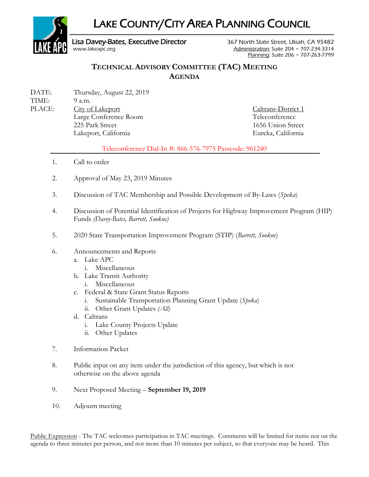

## **TECHNICAL ADVISORY COMMITTEE (TAC) MEETING AGENDA**

DATE: Thursday, August 22, 2019 TIME: 9 a.m. PLACE: City of Lakeport Caltrans-District 1 Large Conference Room Teleconference 225 Park Street 1656 Union Street Lakeport, California Eureka, California

## Teleconference Dial-In #: 866-576-7975 Passcode: 961240

- 1. Call to order
- 2. Approval of May 23, 2019 Minutes
- 3. Discussion of TAC Membership and Possible Development of By-Laws (*Speka*)
- 4. Discussion of Potential Identification of Projects for Highway Improvement Program (HIP) Funds *(Davey-Bates, Barrett, Sookne)*
- 5. 2020 State Transportation Improvement Program (STIP) (*Barrett, Sookne*)
- 6. Announcements and Reports
	- a. Lake APC
		- i. Miscellaneous
	- b. Lake Transit Authority
		- i. Miscellaneous
	- c. Federal & State Grant Status Reports
		- i. Sustainable Transportation Planning Grant Update (*Speka*)
		- ii. Other Grant Updates *(All)*
	- d. Caltrans
		- i. Lake County Projects Update
		- ii. Other Updates
- 7. Information Packet
- 8. Public input on any item under the jurisdiction of this agency, but which is not otherwise on the above agenda
- 9. Next Proposed Meeting **September 19, 2019**
- 10. Adjourn meeting

Public Expression - The TAC welcomes participation in TAC meetings. Comments will be limited for items not on the agenda to three minutes per person, and not more than 10 minutes per subject, so that everyone may be heard. This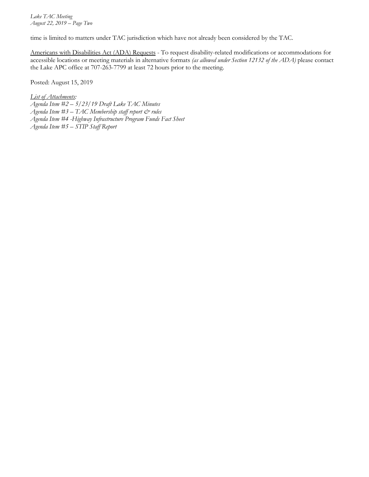*Lake TAC Meeting August 22, 2019 – Page Two*

time is limited to matters under TAC jurisdiction which have not already been considered by the TAC.

Americans with Disabilities Act (ADA) Requests - To request disability-related modifications or accommodations for accessible locations or meeting materials in alternative formats *(as allowed under Section 12132 of the ADA)* please contact the Lake APC office at 707-263-7799 at least 72 hours prior to the meeting.

Posted: August 15, 2019

*List of Attachments:*

- *Agenda Item #2 – 5/23/19 Draft Lake TAC Minutes*
- *Agenda Item #3 – TAC Membership staff report & rules*
- *Agenda Item #4 -Highway Infrastructure Program Funds Fact Sheet*
- *Agenda Item #5 – STIP Staff Report*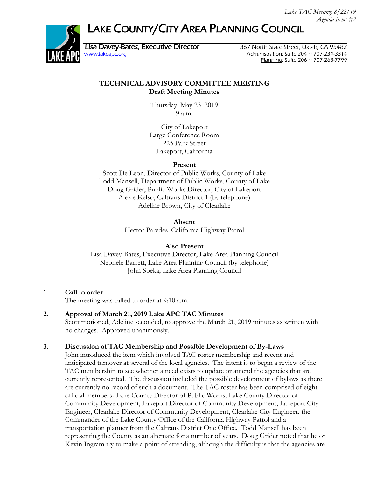# LAKE COUNTY/CITY AREA PLANNING COUNCIL



Lisa Davey-Bates, Executive Director 367 North State Street, Ukiah, CA 95482<br>Www.lakeapc.org 367 Month State 204 ~ 707-234-3314 Administration: Suite 204  $\sim$  707-234-3314 Planning: Suite 206 ~ 707-263-7799

## **TECHNICAL ADVISORY COMMITTEE MEETING Draft Meeting Minutes**

Thursday, May 23, 2019 9 a.m.

City of Lakeport Large Conference Room 225 Park Street Lakeport, California

#### **Present**

Scott De Leon, Director of Public Works, County of Lake Todd Mansell, Department of Public Works, County of Lake Doug Grider, Public Works Director, City of Lakeport Alexis Kelso, Caltrans District 1 (by telephone) Adeline Brown, City of Clearlake

> **Absent** Hector Paredes, California Highway Patrol

## **Also Present**

Lisa Davey-Bates, Executive Director, Lake Area Planning Council Nephele Barrett, Lake Area Planning Council (by telephone) John Speka, Lake Area Planning Council

**1. Call to order**

The meeting was called to order at 9:10 a.m.

## **2. Approval of March 21, 2019 Lake APC TAC Minutes**

Scott motioned, Adeline seconded, to approve the March 21, 2019 minutes as written with no changes. Approved unanimously.

## **3. Discussion of TAC Membership and Possible Development of By-Laws**

John introduced the item which involved TAC roster membership and recent and anticipated turnover at several of the local agencies. The intent is to begin a review of the TAC membership to see whether a need exists to update or amend the agencies that are currently represented. The discussion included the possible development of bylaws as there are currently no record of such a document. The TAC roster has been comprised of eight official members- Lake County Director of Public Works, Lake County Director of Community Development, Lakeport Director of Community Development, Lakeport City Engineer, Clearlake Director of Community Development, Clearlake City Engineer, the Commander of the Lake County Office of the California Highway Patrol and a transportation planner from the Caltrans District One Office. Todd Mansell has been representing the County as an alternate for a number of years. Doug Grider noted that he or Kevin Ingram try to make a point of attending, although the difficulty is that the agencies are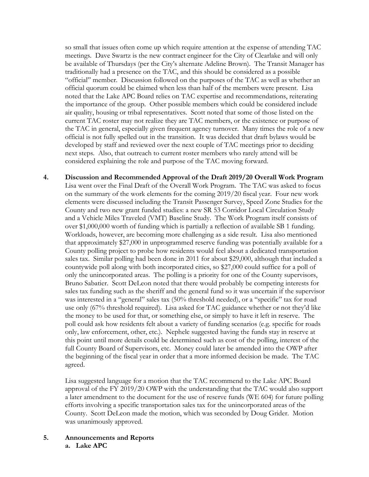so small that issues often come up which require attention at the expense of attending TAC meetings. Dave Swartz is the new contract engineer for the City of Clearlake and will only be available of Thursdays (per the City's alternate Adeline Brown). The Transit Manager has traditionally had a presence on the TAC, and this should be considered as a possible "official" member. Discussion followed on the purposes of the TAC as well as whether an official quorum could be claimed when less than half of the members were present. Lisa noted that the Lake APC Board relies on TAC expertise and recommendations, reiterating the importance of the group. Other possible members which could be considered include air quality, housing or tribal representatives. Scott noted that some of those listed on the current TAC roster may not realize they are TAC members, or the existence or purpose of the TAC in general, especially given frequent agency turnover. Many times the role of a new official is not fully spelled out in the transition. It was decided that draft bylaws would be developed by staff and reviewed over the next couple of TAC meetings prior to deciding next steps. Also, that outreach to current roster members who rarely attend will be considered explaining the role and purpose of the TAC moving forward.

**4. Discussion and Recommended Approval of the Draft 2019/20 Overall Work Program** Lisa went over the Final Draft of the Overall Work Program. The TAC was asked to focus on the summary of the work elements for the coming 2019/20 fiscal year. Four new work elements were discussed including the Transit Passenger Survey, Speed Zone Studies for the County and two new grant funded studies: a new SR 53 Corridor Local Circulation Study and a Vehicle Miles Traveled (VMT) Baseline Study. The Work Program itself consists of over \$1,000,000 worth of funding which is partially a reflection of available SB 1 funding. Workloads, however, are becoming more challenging as a side result. Lisa also mentioned that approximately \$27,000 in unprogrammed reserve funding was potentially available for a County polling project to probe how residents would feel about a dedicated transportation sales tax. Similar polling had been done in 2011 for about \$29,000, although that included a countywide poll along with both incorporated cities, so \$27,000 could suffice for a poll of only the unincorporated areas. The polling is a priority for one of the County supervisors, Bruno Sabatier. Scott DeLeon noted that there would probably be competing interests for sales tax funding such as the sheriff and the general fund so it was uncertain if the supervisor was interested in a "general" sales tax (50% threshold needed), or a "specific" tax for road use only (67% threshold required). Lisa asked for TAC guidance whether or not they'd like the money to be used for that, or something else, or simply to have it left in reserve. The poll could ask how residents felt about a variety of funding scenarios (e.g. specific for roads only, law enforcement, other, etc.). Nephele suggested having the funds stay in reserve at this point until more details could be determined such as cost of the polling, interest of the full County Board of Supervisors, etc. Money could later be amended into the OWP after the beginning of the fiscal year in order that a more informed decision be made. The TAC agreed.

Lisa suggested language for a motion that the TAC recommend to the Lake APC Board approval of the FY 2019/20 OWP with the understanding that the TAC would also support a later amendment to the document for the use of reserve funds (WE 604) for future polling efforts involving a specific transportation sales tax for the unincorporated areas of the County. Scott DeLeon made the motion, which was seconded by Doug Grider. Motion was unanimously approved.

**5. Announcements and Reports a. Lake APC**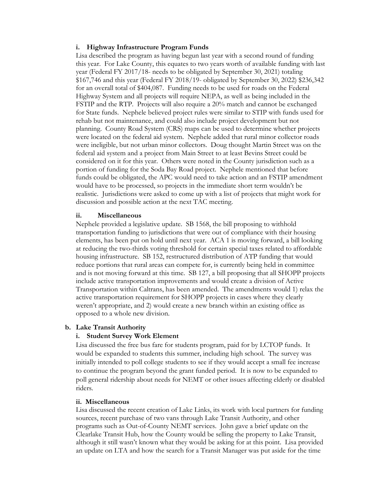#### **i. Highway Infrastructure Program Funds**

Lisa described the program as having begun last year with a second round of funding this year. For Lake County, this equates to two years worth of available funding with last year (Federal FY 2017/18- needs to be obligated by September 30, 2021) totaling \$167,746 and this year (Federal FY 2018/19- obligated by September 30, 2022) \$236,342 for an overall total of \$404,087. Funding needs to be used for roads on the Federal Highway System and all projects will require NEPA, as well as being included in the FSTIP and the RTP. Projects will also require a 20% match and cannot be exchanged for State funds. Nephele believed project rules were similar to STIP with funds used for rehab but not maintenance, and could also include project development but not planning. County Road System (CRS) maps can be used to determine whether projects were located on the federal aid system. Nephele added that rural minor collector roads were ineligible, but not urban minor collectors. Doug thought Martin Street was on the federal aid system and a project from Main Street to at least Bevins Street could be considered on it for this year. Others were noted in the County jurisdiction such as a portion of funding for the Soda Bay Road project. Nephele mentioned that before funds could be obligated, the APC would need to take action and an FSTIP amendment would have to be processed, so projects in the immediate short term wouldn't be realistic. Jurisdictions were asked to come up with a list of projects that might work for discussion and possible action at the next TAC meeting.

#### **ii. Miscellaneous**

Nephele provided a legislative update. SB 1568, the bill proposing to withhold transportation funding to jurisdictions that were out of compliance with their housing elements, has been put on hold until next year. ACA 1 is moving forward, a bill looking at reducing the two-thirds voting threshold for certain special taxes related to affordable housing infrastructure. SB 152, restructured distribution of ATP funding that would reduce portions that rural areas can compete for, is currently being held in committee and is not moving forward at this time. SB 127, a bill proposing that all SHOPP projects include active transportation improvements and would create a division of Active Transportation within Caltrans, has been amended. The amendments would 1) relax the active transportation requirement for SHOPP projects in cases where they clearly weren't appropriate, and 2) would create a new branch within an existing office as opposed to a whole new division.

#### **b. Lake Transit Authority**

#### **i. Student Survey Work Element**

Lisa discussed the free bus fare for students program, paid for by LCTOP funds. It would be expanded to students this summer, including high school. The survey was initially intended to poll college students to see if they would accept a small fee increase to continue the program beyond the grant funded period. It is now to be expanded to poll general ridership about needs for NEMT or other issues affecting elderly or disabled riders.

#### **ii. Miscellaneous**

Lisa discussed the recent creation of Lake Links, its work with local partners for funding sources, recent purchase of two vans through Lake Transit Authority, and other programs such as Out-of-County NEMT services. John gave a brief update on the Clearlake Transit Hub, how the County would be selling the property to Lake Transit, although it still wasn't known what they would be asking for at this point. Lisa provided an update on LTA and how the search for a Transit Manager was put aside for the time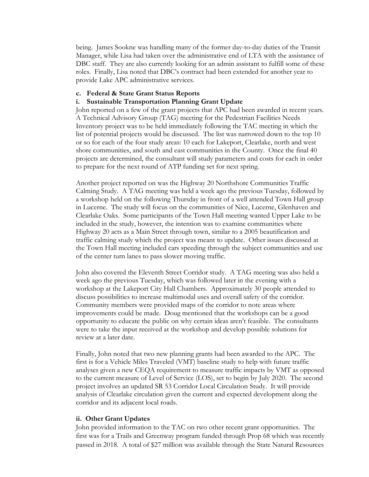being. James Sookne was handling many of the former day-to-day duties of the Transit Manager, while Lisa had taken over the administrative end of LTA with the assistance of DBC staff. They are also currently looking for an admin assistant to fulfill some of these roles. Finally, Lisa noted that DBC's contract had been extended for another year to provide Lake APC administrative services.

#### **c. Federal & State Grant Status Reports**

## **i. Sustainable Transportation Planning Grant Update**

John reported on a few of the grant projects that APC had been awarded in recent years. A Technical Advisory Group (TAG) meeting for the Pedestrian Facilities Needs Inventory project was to be held immediately following the TAC meeting in which the list of potential projects would be discussed. The list was narrowed down to the top 10 or so for each of the four study areas: 10 each for Lakeport, Clearlake, north and west shore communities, and south and east communities in the County. Once the final 40 projects are determined, the consultant will study parameters and costs for each in order to prepare for the next round of ATP funding set for next spring.

Another project reported on was the Highway 20 Northshore Communities Traffic Calming Study. A TAG meeting was held a week ago the previous Tuesday, followed by a workshop held on the following Thursday in front of a well attended Town Hall group in Lucerne. The study will focus on the communities of Nice, Lucerne, Glenhaven and Clearlake Oaks. Some participants of the Town Hall meeting wanted Upper Lake to be included in the study, however, the intention was to examine communities where Highway 20 acts as a Main Street through town, similar to a 2005 beautification and traffic calming study which the project was meant to update. Other issues discussed at the Town Hall meeting included cars speeding through the subject communities and use of the center turn lanes to pass slower moving traffic.

John also covered the Eleventh Street Corridor study. A TAG meeting was also held a week ago the previous Tuesday, which was followed later in the evening with a workshop at the Lakeport City Hall Chambers. Approximately 30 people attended to discuss possibilities to increase multimodal uses and overall safety of the corridor. Community members were provided maps of the corridor to note areas where improvements could be made. Doug mentioned that the workshops can be a good opportunity to educate the public on why certain ideas aren't feasible. The consultants were to take the input received at the workshop and develop possible solutions for review at a later date.

Finally, John noted that two new planning grants had been awarded to the APC. The first is for a Vehicle Miles Traveled (VMT) baseline study to help with future traffic analyses given a new CEQA requirement to measure traffic impacts by VMT as opposed to the current measure of Level of Service (LOS), set to begin by July 2020. The second project involves an updated SR 53 Corridor Local Circulation Study. It will provide analysis of Clearlake circulation given the current and expected development along the corridor and its adjacent local roads.

## **ii. Other Grant Updates**

John provided information to the TAC on two other recent grant opportunities. The first was for a Trails and Greenway program funded through Prop 68 which was recently passed in 2018. A total of \$27 million was available through the State Natural Resources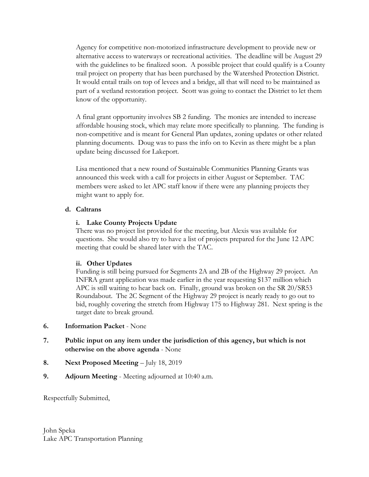Agency for competitive non-motorized infrastructure development to provide new or alternative access to waterways or recreational activities. The deadline will be August 29 with the guidelines to be finalized soon. A possible project that could qualify is a County trail project on property that has been purchased by the Watershed Protection District. It would entail trails on top of levees and a bridge, all that will need to be maintained as part of a wetland restoration project. Scott was going to contact the District to let them know of the opportunity.

A final grant opportunity involves SB 2 funding. The monies are intended to increase affordable housing stock, which may relate more specifically to planning. The funding is non-competitive and is meant for General Plan updates, zoning updates or other related planning documents. Doug was to pass the info on to Kevin as there might be a plan update being discussed for Lakeport.

Lisa mentioned that a new round of Sustainable Communities Planning Grants was announced this week with a call for projects in either August or September. TAC members were asked to let APC staff know if there were any planning projects they might want to apply for.

## **d. Caltrans**

## **i. Lake County Projects Update**

There was no project list provided for the meeting, but Alexis was available for questions. She would also try to have a list of projects prepared for the June 12 APC meeting that could be shared later with the TAC.

## **ii. Other Updates**

Funding is still being pursued for Segments 2A and 2B of the Highway 29 project. An INFRA grant application was made earlier in the year requesting \$137 million which APC is still waiting to hear back on. Finally, ground was broken on the SR 20/SR53 Roundabout. The 2C Segment of the Highway 29 project is nearly ready to go out to bid, roughly covering the stretch from Highway 175 to Highway 281. Next spring is the target date to break ground.

- **6. Information Packet**  None
- **7. Public input on any item under the jurisdiction of this agency, but which is not otherwise on the above agenda** - None
- **8. Next Proposed Meeting** July 18, 2019
- **9. Adjourn Meeting** Meeting adjourned at 10:40 a.m.

Respectfully Submitted,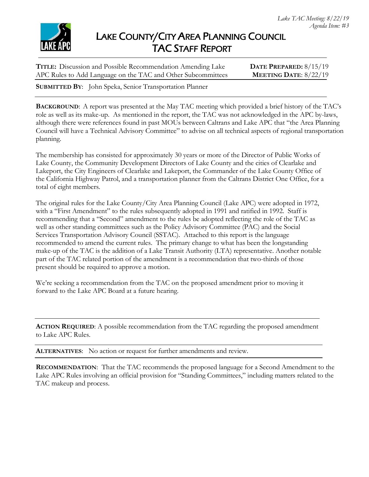

# LAKE COUNTY/CITY AREA PLANNING COUNCIL TAC STAFF REPORT

**TITLE:** Discussion and Possible Recommendation Amending Lake **DATE PREPARED:** 8/15/19 APC Rules to Add Language on the TAC and Other Subcommittees **MEETING DATE**: 8/22/19

**SUBMITTED BY**: John Speka, Senior Transportation Planner

**BACKGROUND**: A report was presented at the May TAC meeting which provided a brief history of the TAC's role as well as its make-up. As mentioned in the report, the TAC was not acknowledged in the APC by-laws, although there were references found in past MOUs between Caltrans and Lake APC that "the Area Planning Council will have a Technical Advisory Committee" to advise on all technical aspects of regional transportation planning.

The membership has consisted for approximately 30 years or more of the Director of Public Works of Lake County, the Community Development Directors of Lake County and the cities of Clearlake and Lakeport, the City Engineers of Clearlake and Lakeport, the Commander of the Lake County Office of the California Highway Patrol, and a transportation planner from the Caltrans District One Office, for a total of eight members.

The original rules for the Lake County/City Area Planning Council (Lake APC) were adopted in 1972, with a "First Amendment" to the rules subsequently adopted in 1991 and ratified in 1992. Staff is recommending that a "Second" amendment to the rules be adopted reflecting the role of the TAC as well as other standing committees such as the Policy Advisory Committee (PAC) and the Social Services Transportation Advisory Council (SSTAC). Attached to this report is the language recommended to amend the current rules. The primary change to what has been the longstanding make-up of the TAC is the addition of a Lake Transit Authority (LTA) representative. Another notable part of the TAC related portion of the amendment is a recommendation that two-thirds of those present should be required to approve a motion.

We're seeking a recommendation from the TAC on the proposed amendment prior to moving it forward to the Lake APC Board at a future hearing.

**ACTION REQUIRED**: A possible recommendation from the TAC regarding the proposed amendment to Lake APC Rules.

**ALTERNATIVES**: No action or request for further amendments and review.

**RECOMMENDATION**: That the TAC recommends the proposed language for a Second Amendment to the Lake APC Rules involving an official provision for "Standing Committees," including matters related to the TAC makeup and process.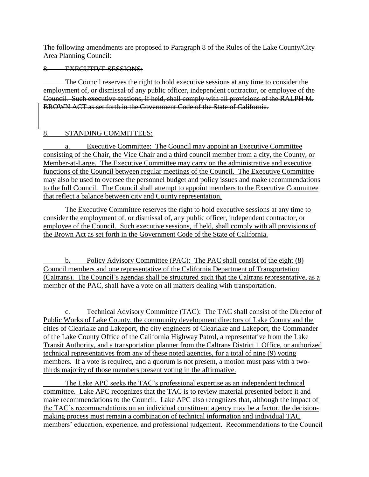The following amendments are proposed to Paragraph 8 of the Rules of the Lake County/City Area Planning Council:

8. EXECUTIVE SESSIONS:

The Council reserves the right to hold executive sessions at any time to consider the employment of, or dismissal of any public officer, independent contractor, or employee of the Council. Such executive sessions, if held, shall comply with all provisions of the RALPH M. BROWN ACT as set forth in the Government Code of the State of California.

## 8. STANDING COMMITTEES:

a. Executive Committee: The Council may appoint an Executive Committee consisting of the Chair, the Vice Chair and a third council member from a city, the County, or Member-at-Large. The Executive Committee may carry on the administrative and executive functions of the Council between regular meetings of the Council. The Executive Committee may also be used to oversee the personnel budget and policy issues and make recommendations to the full Council. The Council shall attempt to appoint members to the Executive Committee that reflect a balance between city and County representation.

The Executive Committee reserves the right to hold executive sessions at any time to consider the employment of, or dismissal of, any public officer, independent contractor, or employee of the Council. Such executive sessions, if held, shall comply with all provisions of the Brown Act as set forth in the Government Code of the State of California.

b. Policy Advisory Committee (PAC): The PAC shall consist of the eight (8) Council members and one representative of the California Department of Transportation (Caltrans). The Council's agendas shall be structured such that the Caltrans representative, as a member of the PAC, shall have a vote on all matters dealing with transportation.

c. Technical Advisory Committee (TAC): The TAC shall consist of the Director of Public Works of Lake County, the community development directors of Lake County and the cities of Clearlake and Lakeport, the city engineers of Clearlake and Lakeport, the Commander of the Lake County Office of the California Highway Patrol, a representative from the Lake Transit Authority, and a transportation planner from the Caltrans District 1 Office, or authorized technical representatives from any of these noted agencies, for a total of nine (9) voting members. If a vote is required, and a quorum is not present, a motion must pass with a twothirds majority of those members present voting in the affirmative.

The Lake APC seeks the TAC's professional expertise as an independent technical committee. Lake APC recognizes that the TAC is to review material presented before it and make recommendations to the Council. Lake APC also recognizes that, although the impact of the TAC's recommendations on an individual constituent agency may be a factor, the decisionmaking process must remain a combination of technical information and individual TAC members' education, experience, and professional judgement. Recommendations to the Council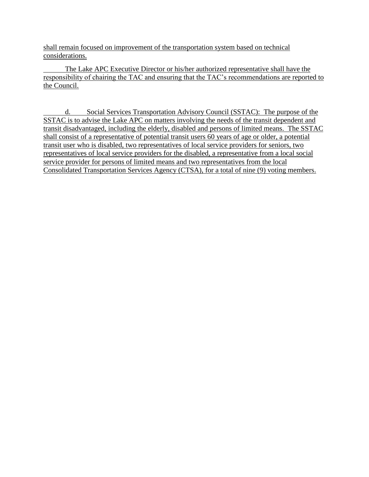shall remain focused on improvement of the transportation system based on technical considerations.

The Lake APC Executive Director or his/her authorized representative shall have the responsibility of chairing the TAC and ensuring that the TAC's recommendations are reported to the Council.

d. Social Services Transportation Advisory Council (SSTAC): The purpose of the SSTAC is to advise the Lake APC on matters involving the needs of the transit dependent and transit disadvantaged, including the elderly, disabled and persons of limited means. The SSTAC shall consist of a representative of potential transit users 60 years of age or older, a potential transit user who is disabled, two representatives of local service providers for seniors, two representatives of local service providers for the disabled, a representative from a local social service provider for persons of limited means and two representatives from the local Consolidated Transportation Services Agency (CTSA), for a total of nine (9) voting members.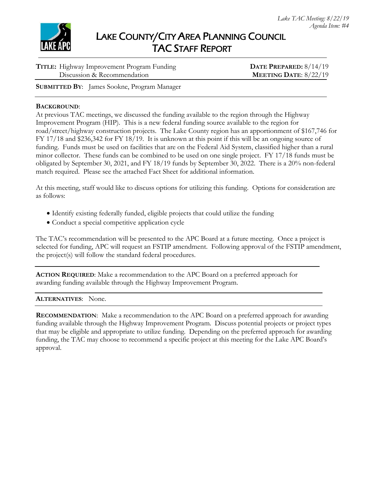

| TITLE: Highway Improvement Program Funding | DATE PREPARED: 8/14/19  |
|--------------------------------------------|-------------------------|
| Discussion & Recommendation                | MEETING DATE: $8/22/19$ |

**SUBMITTED BY**: James Sookne, Program Manager

#### **BACKGROUND**:

At previous TAC meetings, we discussed the funding available to the region through the Highway Improvement Program (HIP). This is a new federal funding source available to the region for road/street/highway construction projects. The Lake County region has an apportionment of \$167,746 for FY 17/18 and \$236,342 for FY 18/19. It is unknown at this point if this will be an ongoing source of funding. Funds must be used on facilities that are on the Federal Aid System, classified higher than a rural minor collector. These funds can be combined to be used on one single project. FY 17/18 funds must be obligated by September 30, 2021, and FY 18/19 funds by September 30, 2022. There is a 20% non-federal match required. Please see the attached Fact Sheet for additional information.

At this meeting, staff would like to discuss options for utilizing this funding. Options for consideration are as follows:

- Identify existing federally funded, eligible projects that could utilize the funding
- Conduct a special competitive application cycle

The TAC's recommendation will be presented to the APC Board at a future meeting. Once a project is selected for funding, APC will request an FSTIP amendment. Following approval of the FSTIP amendment, the project(s) will follow the standard federal procedures.

**ACTION REQUIRED**: Make a recommendation to the APC Board on a preferred approach for awarding funding available through the Highway Improvement Program.

#### **ALTERNATIVES**: None.

**RECOMMENDATION**: Make a recommendation to the APC Board on a preferred approach for awarding funding available through the Highway Improvement Program. Discuss potential projects or project types that may be eligible and appropriate to utilize funding. Depending on the preferred approach for awarding funding, the TAC may choose to recommend a specific project at this meeting for the Lake APC Board's approval.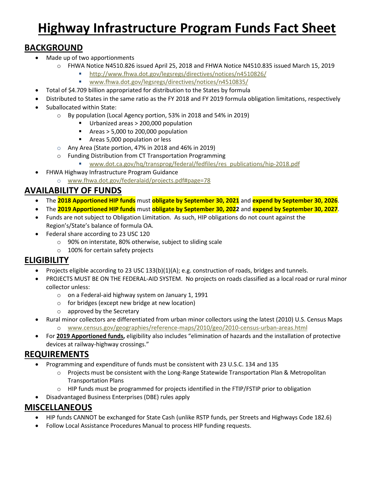# **Highway Infrastructure Program Funds Fact Sheet**

# **BACKGROUND**

- Made up of two apportionments
	- o FHWA Notice N4510.826 issued April 25, 2018 and FHWA Notice N4510.835 issued March 15, 2019
		- <http://www.fhwa.dot.gov/legsregs/directives/notices/n4510826/>
		- [www.fhwa.dot.gov/legsregs/directives/notices/n4510835/](http://www.fhwa.dot.gov/legsregs/directives/notices/n4510835/)
- Total of \$4.709 billion appropriated for distribution to the States by formula
- Distributed to States in the same ratio as the FY 2018 and FY 2019 formula obligation limitations, respectively
- Suballocated within State:
	- o By population (Local Agency portion, 53% in 2018 and 54% in 2019)
		- Urbanized areas > 200,000 population
		- Areas  $> 5,000$  to 200,000 population
		- **Areas 5,000 population or less**
	- o Any Area (State portion, 47% in 2018 and 46% in 2019)
	- o Funding Distribution from CT Transportation Programming
		- [www.dot.ca.gov/hq/transprog/federal/fedfiles/res\\_publications/hip-2018.pdf](http://www.dot.ca.gov/hq/transprog/federal/fedfiles/res_publications/hip-2018.pdf)
- FHWA Highway Infrastructure Program Guidance
	- o [www.fhwa.dot.gov/federalaid/projects.pdf#page=78](https://www.fhwa.dot.gov/federalaid/projects.pdf#page=78)

# **AVAILABILITY OF FUNDS**

- The **2018 Apportioned HIP funds** must **obligate by September 30, 2021** and **expend by September 30, 2026**.
- The **2019 Apportioned HIP funds** must **obligate by September 30, 2022** and **expend by September 30, 2027**.
- Funds are not subject to Obligation Limitation. As such, HIP obligations do not count against the Region's/State's balance of formula OA.
- Federal share according to 23 USC 120
	- o 90% on interstate, 80% otherwise, subject to sliding scale
	- o 100% for certain safety projects

# **ELIGIBILITY**

- Projects eligible according to 23 USC 133(b)(1)(A); e.g. construction of roads, bridges and tunnels.
- PROJECTS MUST BE ON THE FEDERAL-AID SYSTEM. No projects on roads classified as a local road or rural minor collector unless:
	- o on a Federal-aid highway system on January 1, 1991
	- o for bridges (except new bridge at new location)
	- o approved by the Secretary
- Rural minor collectors are differentiated from urban minor collectors using the latest (2010) U.S. Census Maps o [www.census.gov/geographies/reference-maps/2010/geo/2010-census-urban-areas.html](http://www.census.gov/geographies/reference-maps/2010/geo/2010-census-urban-areas.html)
- For **2019 Apportioned funds,** eligibility also includes "elimination of hazards and the installation of protective devices at railway-highway crossings."

# **REQUIREMENTS**

- Programming and expenditure of funds must be consistent with 23 U.S.C. 134 and 135
	- o Projects must be consistent with the Long-Range Statewide Transportation Plan & Metropolitan Transportation Plans
	- $\circ$  HIP funds must be programmed for projects identified in the FTIP/FSTIP prior to obligation
- Disadvantaged Business Enterprises (DBE) rules apply

# **MISCELLANEOUS**

- HIP funds CANNOT be exchanged for State Cash (unlike RSTP funds, per Streets and Highways Code 182.6)
- Follow Local Assistance Procedures Manual to process HIP funding requests.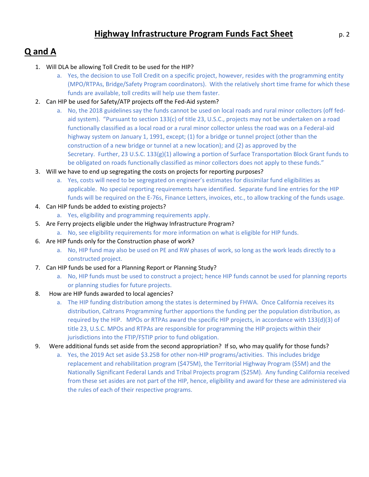# **Q and A**

- 1. Will DLA be allowing Toll Credit to be used for the HIP?
	- a. Yes, the decision to use Toll Credit on a specific project, however, resides with the programming entity (MPO/RTPAs, Bridge/Safety Program coordinators). With the relatively short time frame for which these funds are available, toll credits will help use them faster.
- 2. Can HIP be used for Safety/ATP projects off the Fed-Aid system?
	- a. No, the 2018 guidelines say the funds cannot be used on local roads and rural minor collectors (off fedaid system). "Pursuant to section 133(c) of title 23, U.S.C., projects may not be undertaken on a road functionally classified as a local road or a rural minor collector unless the road was on a Federal-aid highway system on January 1, 1991, except; (1) for a bridge or tunnel project (other than the construction of a new bridge or tunnel at a new location); and (2) as approved by the Secretary. Further, 23 U.S.C. 133(g)(1) allowing a portion of Surface Transportation Block Grant funds to be obligated on roads functionally classified as minor collectors does not apply to these funds."
- 3. Will we have to end up segregating the costs on projects for reporting purposes?
	- a. Yes, costs will need to be segregated on engineer's estimates for dissimilar fund eligibilities as applicable. No special reporting requirements have identified. Separate fund line entries for the HIP funds will be required on the E-76s, Finance Letters, invoices, etc., to allow tracking of the funds usage.
- 4. Can HIP funds be added to existing projects?
	- a. Yes, eligibility and programming requirements apply.
- 5. Are Ferry projects eligible under the Highway Infrastructure Program?
	- a. No, see eligibility requirements for more information on what is eligible for HIP funds.
- 6. Are HIP funds only for the Construction phase of work?
	- a. No, HIP fund may also be used on PE and RW phases of work, so long as the work leads directly to a constructed project.
- 7. Can HIP funds be used for a Planning Report or Planning Study?
	- a. No, HIP funds must be used to construct a project; hence HIP funds cannot be used for planning reports or planning studies for future projects.
- 8. How are HIP funds awarded to local agencies?
	- a. The HIP funding distribution among the states is determined by FHWA. Once California receives its distribution, Caltrans Programming further apportions the funding per the population distribution, as required by the HIP. MPOs or RTPAs award the specific HIP projects, in accordance with 133(d)(3) of title 23, U.S.C. MPOs and RTPAs are responsible for programming the HIP projects within their jurisdictions into the FTIP/FSTIP prior to fund obligation.
- 9. Were additional funds set aside from the second appropriation? If so, who may qualify for those funds?
	- a. Yes, the 2019 Act set aside \$3.25B for other non-HIP programs/activities. This includes bridge replacement and rehabilitation program (\$475M), the Territorial Highway Program (\$5M) and the Nationally Significant Federal Lands and Tribal Projects program (\$25M). Any funding California received from these set asides are not part of the HIP, hence, eligibility and award for these are administered via the rules of each of their respective programs.